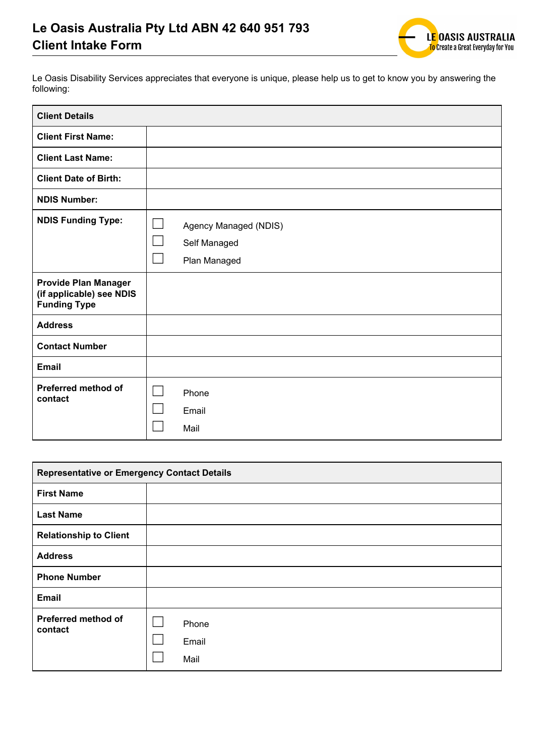

Le Oasis Disability Services appreciates that everyone is unique, please help us to get to know you by answering the following:

| <b>Client Details</b>                                                          |                        |                                                       |
|--------------------------------------------------------------------------------|------------------------|-------------------------------------------------------|
| <b>Client First Name:</b>                                                      |                        |                                                       |
| <b>Client Last Name:</b>                                                       |                        |                                                       |
| <b>Client Date of Birth:</b>                                                   |                        |                                                       |
| <b>NDIS Number:</b>                                                            |                        |                                                       |
| <b>NDIS Funding Type:</b>                                                      |                        | Agency Managed (NDIS)<br>Self Managed<br>Plan Managed |
| <b>Provide Plan Manager</b><br>(if applicable) see NDIS<br><b>Funding Type</b> |                        |                                                       |
| <b>Address</b>                                                                 |                        |                                                       |
| <b>Contact Number</b>                                                          |                        |                                                       |
| <b>Email</b>                                                                   |                        |                                                       |
| Preferred method of<br>contact                                                 | Phone<br>Email<br>Mail |                                                       |

| <b>Representative or Emergency Contact Details</b> |                        |  |
|----------------------------------------------------|------------------------|--|
| <b>First Name</b>                                  |                        |  |
| <b>Last Name</b>                                   |                        |  |
| <b>Relationship to Client</b>                      |                        |  |
| <b>Address</b>                                     |                        |  |
| <b>Phone Number</b>                                |                        |  |
| Email                                              |                        |  |
| Preferred method of<br>contact                     | Phone<br>Email<br>Mail |  |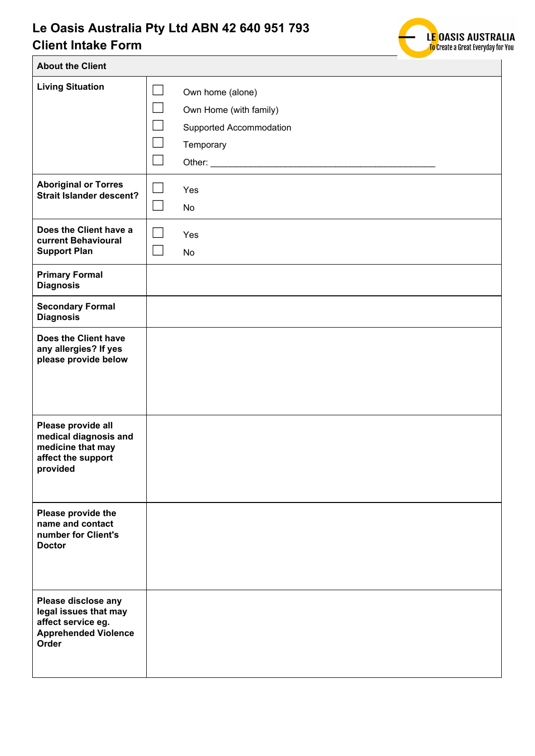

| <b>About the Client</b>                                                                                    |                                                                                                                                               |
|------------------------------------------------------------------------------------------------------------|-----------------------------------------------------------------------------------------------------------------------------------------------|
| <b>Living Situation</b>                                                                                    | $\mathcal{L}_{\mathcal{A}}$<br>Own home (alone)<br>Own Home (with family)<br>Supported Accommodation<br>$\mathbb{R}^n$<br>Temporary<br>Other: |
| <b>Aboriginal or Torres</b><br><b>Strait Islander descent?</b>                                             | Yes<br>No                                                                                                                                     |
| Does the Client have a<br>current Behavioural<br><b>Support Plan</b>                                       | Yes<br>No                                                                                                                                     |
| <b>Primary Formal</b><br><b>Diagnosis</b>                                                                  |                                                                                                                                               |
| <b>Secondary Formal</b><br><b>Diagnosis</b>                                                                |                                                                                                                                               |
| Does the Client have<br>any allergies? If yes<br>please provide below                                      |                                                                                                                                               |
| Please provide all<br>medical diagnosis and<br>medicine that may<br>affect the support<br>provided         |                                                                                                                                               |
| Please provide the<br>name and contact<br>number for Client's<br><b>Doctor</b>                             |                                                                                                                                               |
| Please disclose any<br>legal issues that may<br>affect service eg.<br><b>Apprehended Violence</b><br>Order |                                                                                                                                               |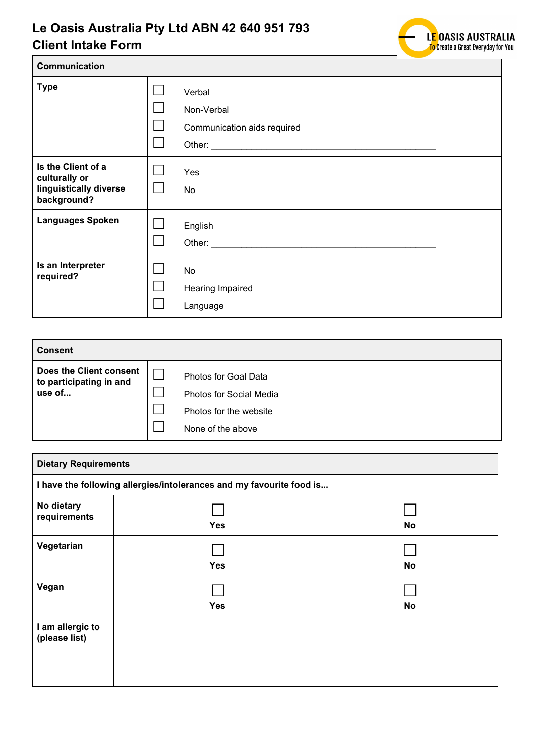

| Communication                                                                |                                                     |
|------------------------------------------------------------------------------|-----------------------------------------------------|
| <b>Type</b>                                                                  | Verbal<br>Non-Verbal<br>Communication aids required |
| Is the Client of a<br>culturally or<br>linguistically diverse<br>background? | Yes<br><b>No</b>                                    |
| <b>Languages Spoken</b>                                                      | English                                             |
| Is an Interpreter<br>required?                                               | <b>No</b><br>Hearing Impaired<br>Language           |

| Consent                                                      |                                                                                                       |
|--------------------------------------------------------------|-------------------------------------------------------------------------------------------------------|
| Does the Client consent<br>to participating in and<br>use of | Photos for Goal Data<br><b>Photos for Social Media</b><br>Photos for the website<br>None of the above |

| <b>Dietary Requirements</b>       |                                                                      |           |
|-----------------------------------|----------------------------------------------------------------------|-----------|
|                                   | I have the following allergies/intolerances and my favourite food is |           |
| No dietary<br>requirements        | <b>Yes</b>                                                           | <b>No</b> |
| Vegetarian                        | <b>Yes</b>                                                           | <b>No</b> |
| Vegan                             | <b>Yes</b>                                                           | <b>No</b> |
| I am allergic to<br>(please list) |                                                                      |           |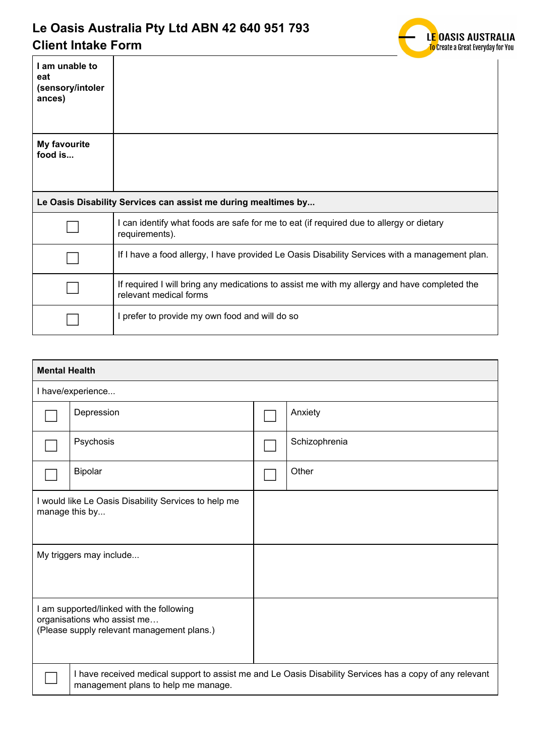

| I am unable to<br>eat<br>(sensory/intoler<br>ances) |                                                                                                                        |
|-----------------------------------------------------|------------------------------------------------------------------------------------------------------------------------|
|                                                     |                                                                                                                        |
| <b>My favourite</b><br>food is                      |                                                                                                                        |
|                                                     | Le Oasis Disability Services can assist me during mealtimes by                                                         |
|                                                     | I can identify what foods are safe for me to eat (if required due to allergy or dietary<br>requirements).              |
|                                                     | If I have a food allergy, I have provided Le Oasis Disability Services with a management plan.                         |
|                                                     |                                                                                                                        |
|                                                     | If required I will bring any medications to assist me with my allergy and have completed the<br>relevant medical forms |

| <b>Mental Health</b>                                                                                                  |                                     |  |                                                                                                          |  |
|-----------------------------------------------------------------------------------------------------------------------|-------------------------------------|--|----------------------------------------------------------------------------------------------------------|--|
|                                                                                                                       | I have/experience                   |  |                                                                                                          |  |
|                                                                                                                       | Depression                          |  | Anxiety                                                                                                  |  |
|                                                                                                                       | Psychosis                           |  | Schizophrenia                                                                                            |  |
|                                                                                                                       | <b>Bipolar</b>                      |  | Other                                                                                                    |  |
| I would like Le Oasis Disability Services to help me<br>manage this by                                                |                                     |  |                                                                                                          |  |
| My triggers may include                                                                                               |                                     |  |                                                                                                          |  |
| I am supported/linked with the following<br>organisations who assist me<br>(Please supply relevant management plans.) |                                     |  |                                                                                                          |  |
|                                                                                                                       | management plans to help me manage. |  | I have received medical support to assist me and Le Oasis Disability Services has a copy of any relevant |  |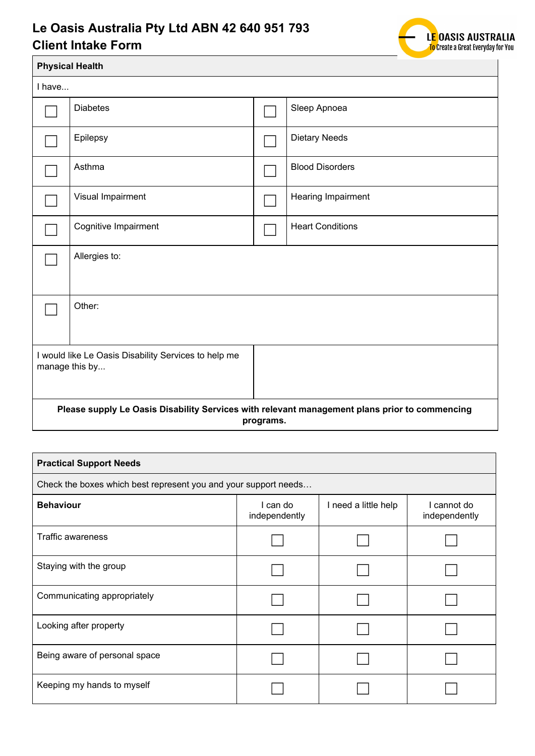

|                                                                                                            | <b>Physical Health</b>                                                 |  |                         |  |  |
|------------------------------------------------------------------------------------------------------------|------------------------------------------------------------------------|--|-------------------------|--|--|
| I have                                                                                                     |                                                                        |  |                         |  |  |
|                                                                                                            | <b>Diabetes</b>                                                        |  | Sleep Apnoea            |  |  |
|                                                                                                            | Epilepsy                                                               |  | Dietary Needs           |  |  |
|                                                                                                            | Asthma                                                                 |  | <b>Blood Disorders</b>  |  |  |
|                                                                                                            | Visual Impairment                                                      |  | Hearing Impairment      |  |  |
|                                                                                                            | Cognitive Impairment                                                   |  | <b>Heart Conditions</b> |  |  |
|                                                                                                            | Allergies to:                                                          |  |                         |  |  |
|                                                                                                            | Other:                                                                 |  |                         |  |  |
|                                                                                                            | I would like Le Oasis Disability Services to help me<br>manage this by |  |                         |  |  |
| Please supply Le Oasis Disability Services with relevant management plans prior to commencing<br>programs. |                                                                        |  |                         |  |  |

| <b>Practical Support Needs</b>                                  |                           |                      |                              |  |
|-----------------------------------------------------------------|---------------------------|----------------------|------------------------------|--|
| Check the boxes which best represent you and your support needs |                           |                      |                              |  |
| <b>Behaviour</b>                                                | I can do<br>independently | I need a little help | I cannot do<br>independently |  |
| <b>Traffic awareness</b>                                        |                           |                      |                              |  |
| Staying with the group                                          |                           |                      |                              |  |
| Communicating appropriately                                     |                           |                      |                              |  |
| Looking after property                                          |                           |                      |                              |  |
| Being aware of personal space                                   |                           |                      |                              |  |
| Keeping my hands to myself                                      |                           |                      |                              |  |